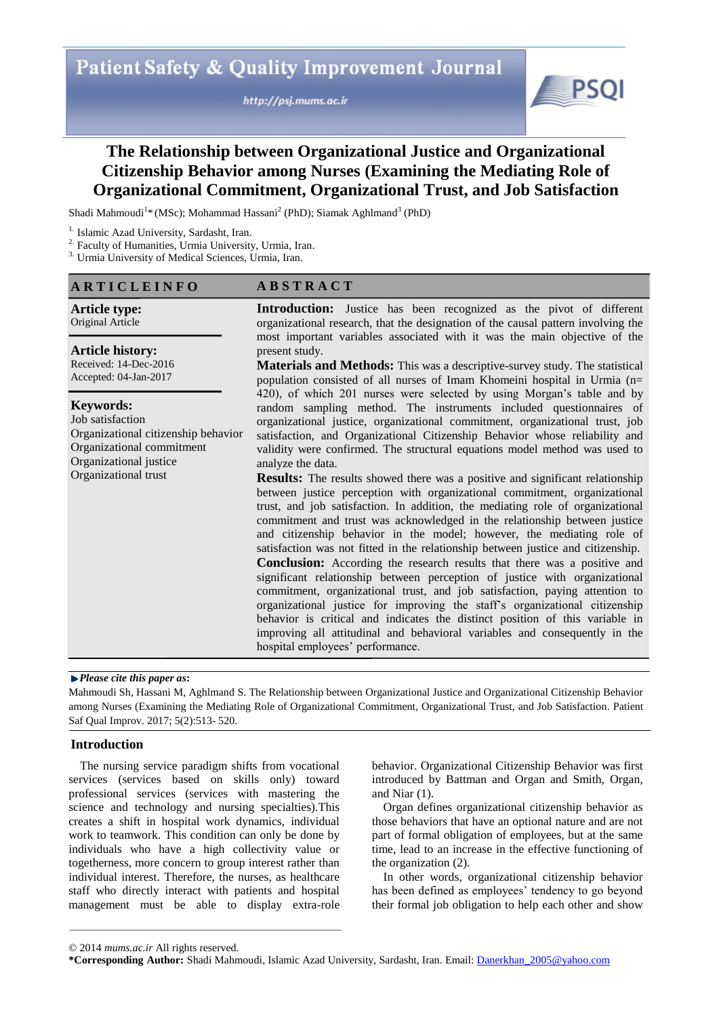http://psj.mums.ac.ir



# **The Relationship between Organizational Justice and Organizational Citizenship Behavior among Nurses (Examining the Mediating Role of Organizational Commitment, Organizational Trust, and Job Satisfaction**

Shadi Mahmoudi<sup>1</sup>\* (MSc); Mohammad Hassani<sup>2</sup> (PhD); Siamak Aghlmand<sup>3</sup> (PhD)

3. Urmia University of Medical Sciences, Urmia, Iran.

## **A R T I C L E I N F O**

## **A B S T R A C T**

**Article type:**  Original Article

#### **Article history:**

Received: 14-Dec-2016 Accepted: 04-Jan-2017

#### **Keywords:**

Job satisfaction Organizational citizenship behavior Organizational commitment Organizational justice Organizational trust

**Introduction:** Justice has been recognized as the pivot of different organizational research, that the designation of the causal pattern involving the most important variables associated with it was the main objective of the present study.

**Materials and Methods:** This was a descriptive-survey study. The statistical population consisted of all nurses of Imam Khomeini hospital in Urmia (n= 420), of which 201 nurses were selected by using Morgan's table and by random sampling method. The instruments included questionnaires of organizational justice, organizational commitment, organizational trust, job satisfaction, and Organizational Citizenship Behavior whose reliability and validity were confirmed. The structural equations model method was used to analyze the data.

**Results:** The results showed there was a positive and significant relationship between justice perception with organizational commitment, organizational trust, and job satisfaction. In addition, the mediating role of organizational commitment and trust was acknowledged in the relationship between justice and citizenship behavior in the model; however, the mediating role of satisfaction was not fitted in the relationship between justice and citizenship. **Conclusion:** According the research results that there was a positive and significant relationship between perception of justice with organizational commitment, organizational trust, and job satisfaction, paying attention to organizational justice for improving the staff's organizational citizenship behavior is critical and indicates the distinct position of this variable in improving all attitudinal and behavioral variables and consequently in the hospital employees' performance.

#### *Please cite this paper as***:**

Mahmoudi Sh, Hassani M, Aghlmand S. The Relationship between Organizational Justice and Organizational Citizenship Behavior among Nurses (Examining the Mediating Role of Organizational Commitment, Organizational Trust, and Job Satisfaction. Patient Saf Qual Improv. 2017; 5(2):513- 520.

### **Introduction**

The nursing service paradigm shifts from vocational services (services based on skills only) toward professional services (services with mastering the science and technology and nursing specialties).This creates a shift in hospital work dynamics, individual work to teamwork. This condition can only be done by individuals who have a high collectivity value or togetherness, more concern to group interest rather than individual interest. Therefore, the nurses, as healthcare staff who directly interact with patients and hospital management must be able to display extra-role

behavior. Organizational Citizenship Behavior was first introduced by Battman and Organ and Smith, Organ, and Niar (1).

Organ defines organizational citizenship behavior as those behaviors that have an optional nature and are not part of formal obligation of employees, but at the same time, lead to an increase in the effective functioning of the organization (2).

In other words, organizational citizenship behavior has been defined as employees' tendency to go beyond their formal job obligation to help each other and show

<sup>&</sup>lt;sup>1.</sup> Islamic Azad University, Sardasht, Iran.

<sup>&</sup>lt;sup>2.</sup> Faculty of Humanities, Urmia University, Urmia, Iran.

<sup>© 2014</sup> *mums.ac.ir* All rights reserved.

**<sup>\*</sup>Corresponding Author:** Shadi Mahmoudi, Islamic Azad University, Sardasht, Iran. Email: Danerkhan\_2005@yahoo.com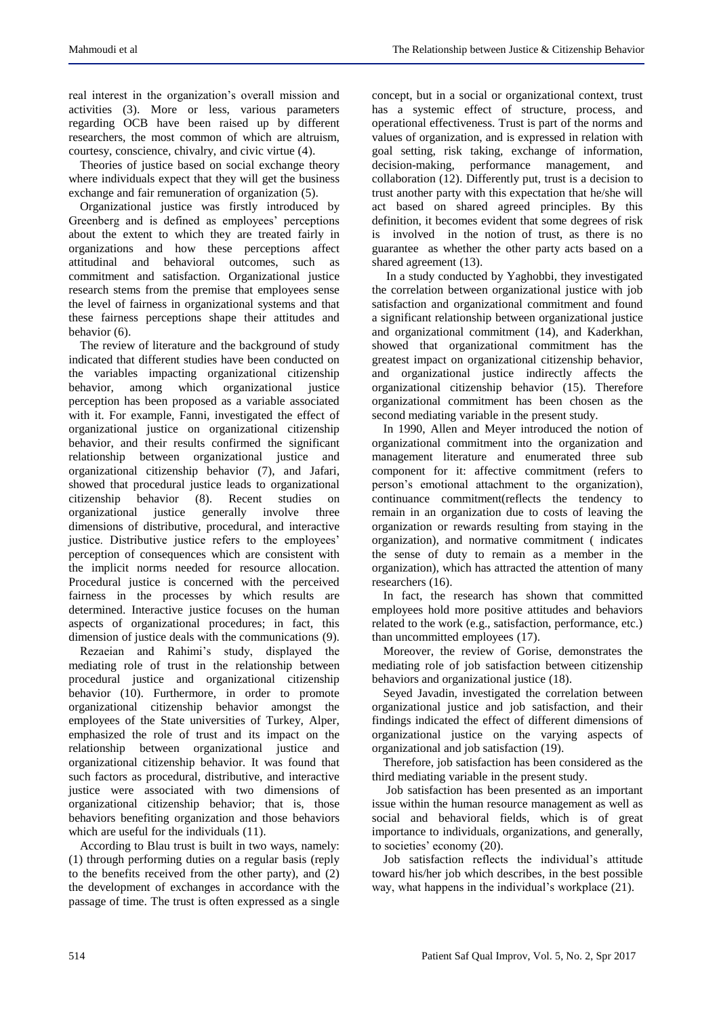real interest in the organization's overall mission and activities (3). More or less, various parameters regarding OCB have been raised up by different researchers, the most common of which are altruism, courtesy, conscience, chivalry, and civic virtue (4).

Theories of justice based on social exchange theory where individuals expect that they will get the business exchange and fair remuneration of organization (5).

Organizational justice was firstly introduced by Greenberg and is defined as employees' perceptions about the extent to which they are treated fairly in organizations and how these perceptions affect attitudinal and behavioral outcomes, such as commitment and satisfaction. Organizational justice research stems from the premise that employees sense the level of fairness in organizational systems and that these fairness perceptions shape their attitudes and behavior (6).

The review of literature and the background of study indicated that different studies have been conducted on the variables impacting organizational citizenship<br>behavior, among which organizational iustice behavior, among which organizational perception has been proposed as a variable associated with it. For example, Fanni, investigated the effect of organizational justice on organizational citizenship behavior, and their results confirmed the significant relationship between organizational justice and organizational citizenship behavior (7), and Jafari, showed that procedural justice leads to organizational citizenship behavior (8). Recent studies on organizational justice generally involve three dimensions of distributive, procedural, and interactive justice. Distributive justice refers to the employees' perception of consequences which are consistent with the implicit norms needed for resource allocation. Procedural justice is concerned with the perceived fairness in the processes by which results are determined. Interactive justice focuses on the human aspects of organizational procedures; in fact, this dimension of justice deals with the communications (9).

Rezaeian and Rahimi's study, displayed the mediating role of trust in the relationship between procedural justice and organizational citizenship behavior (10). Furthermore, in order to promote organizational citizenship behavior amongst the employees of the State universities of Turkey, Alper, emphasized the role of trust and its impact on the relationship between organizational justice and organizational citizenship behavior. It was found that such factors as procedural, distributive, and interactive justice were associated with two dimensions of organizational citizenship behavior; that is, those behaviors benefiting organization and those behaviors which are useful for the individuals  $(11)$ .

According to Blau trust is built in two ways, namely: (1) through performing duties on a regular basis (reply to the benefits received from the other party), and (2) the development of exchanges in accordance with the passage of time. The trust is often expressed as a single

concept, but in a social or organizational context, trust has a systemic effect of structure, process, and operational effectiveness. Trust is part of the norms and values of organization, and is expressed in relation with goal setting, risk taking, exchange of information, decision-making, performance management, and collaboration (12). Differently put, trust is a decision to trust another party with this expectation that he/she will act based on shared agreed principles. By this definition, it becomes evident that some degrees of risk is involved in the notion of trust, as there is no guarantee as whether the other party acts based on a shared agreement (13).

In a study conducted by Yaghobbi, they investigated the correlation between organizational justice with job satisfaction and organizational commitment and found a significant relationship between organizational justice and organizational commitment (14), and Kaderkhan, showed that organizational commitment has the greatest impact on organizational citizenship behavior, and organizational justice indirectly affects the organizational citizenship behavior (15). Therefore organizational commitment has been chosen as the second mediating variable in the present study.

In 1990, Allen and Meyer introduced the notion of organizational commitment into the organization and management literature and enumerated three sub component for it: affective commitment (refers to person's emotional attachment to the organization), continuance commitment(reflects the tendency to remain in an organization due to costs of leaving the organization or rewards resulting from staying in the organization), and normative commitment ( indicates the sense of duty to remain as a member in the organization), which has attracted the attention of many researchers (16).

In fact, the research has shown that committed employees hold more positive attitudes and behaviors related to the work (e.g., satisfaction, performance, etc.) than uncommitted employees (17).

Moreover, the review of Gorise, demonstrates the mediating role of job satisfaction between citizenship behaviors and organizational justice (18).

Seyed Javadin, investigated the correlation between organizational justice and job satisfaction, and their findings indicated the effect of different dimensions of organizational justice on the varying aspects of organizational and job satisfaction (19).

Therefore, job satisfaction has been considered as the third mediating variable in the present study.

Job satisfaction has been presented as an important issue within the human resource management as well as social and behavioral fields, which is of great importance to individuals, organizations, and generally, to societies' economy (20).

Job satisfaction reflects the individual's attitude toward his/her job which describes, in the best possible way, what happens in the individual's workplace (21).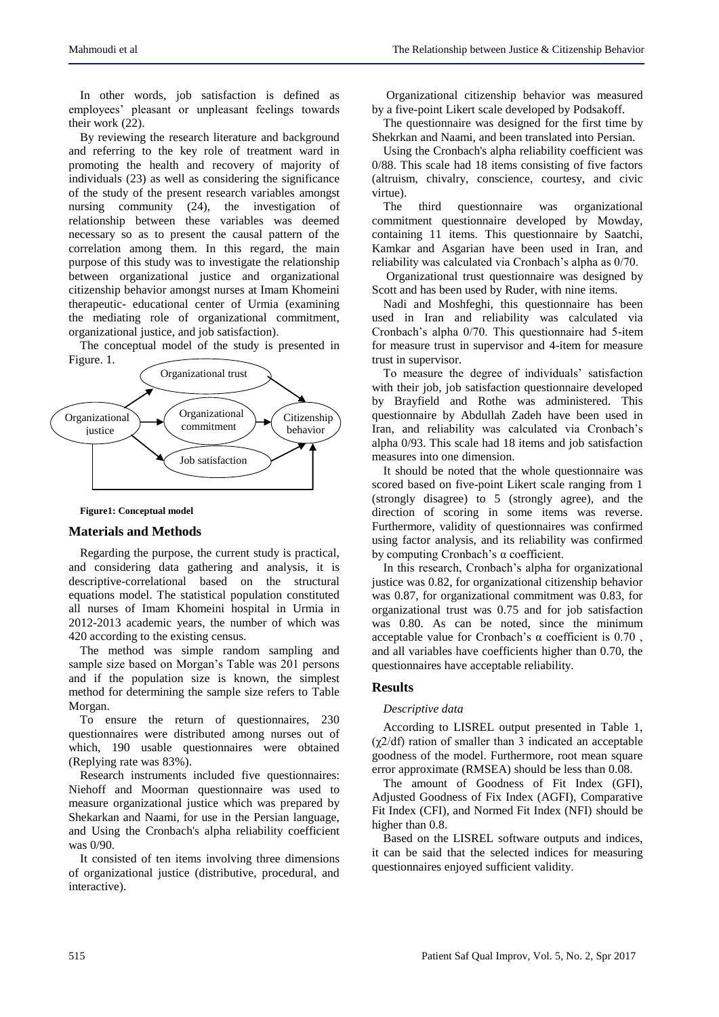In other words, job satisfaction is defined as employees' pleasant or unpleasant feelings towards their work (22).

By reviewing the research literature and background and referring to the key role of treatment ward in promoting the health and recovery of majority of individuals (23) as well as considering the significance of the study of the present research variables amongst nursing community (24), the investigation of relationship between these variables was deemed necessary so as to present the causal pattern of the correlation among them. In this regard, the main purpose of this study was to investigate the relationship between organizational justice and organizational citizenship behavior amongst nurses at Imam Khomeini therapeutic- educational center of Urmia (examining the mediating role of organizational commitment, organizational justice, and job satisfaction).

The conceptual model of the study is presented in



#### **Figure1: Conceptual model**

## **Materials and Methods**

Regarding the purpose, the current study is practical, and considering data gathering and analysis, it is descriptive-correlational based on the structural equations model. The statistical population constituted all nurses of Imam Khomeini hospital in Urmia in 2012-2013 academic years, the number of which was 420 according to the existing census.

The method was simple random sampling and sample size based on Morgan's Table was 201 persons and if the population size is known, the simplest method for determining the sample size refers to Table Morgan.

To ensure the return of questionnaires, 230 questionnaires were distributed among nurses out of which, 190 usable questionnaires were obtained (Replying rate was 83%).

Research instruments included five questionnaires: Niehoff and Moorman questionnaire was used to measure organizational justice which was prepared by Shekarkan and Naami, for use in the Persian language, and Using the Cronbach's alpha reliability coefficient was 0/90.

It consisted of ten items involving three dimensions of organizational justice (distributive, procedural, and interactive).

Organizational citizenship behavior was measured by a five-point Likert scale developed by Podsakoff.

The questionnaire was designed for the first time by Shekrkan and Naami, and been translated into Persian.

Using the Cronbach's alpha reliability coefficient was 0/88. This scale had 18 items consisting of five factors (altruism, chivalry, conscience, courtesy, and civic virtue).

The third questionnaire was organizational commitment questionnaire developed by Mowday, containing 11 items. This questionnaire by Saatchi, Kamkar and Asgarian have been used in Iran, and reliability was calculated via Cronbach's alpha as 0/70.

Organizational trust questionnaire was designed by Scott and has been used by Ruder, with nine items.

Nadi and Moshfeghi, this questionnaire has been used in Iran and reliability was calculated via Cronbach's alpha 0/70. This questionnaire had 5-item for measure trust in supervisor and 4-item for measure trust in supervisor.

To measure the degree of individuals' satisfaction with their job, job satisfaction questionnaire developed by Brayfield and Rothe was administered. This questionnaire by Abdullah Zadeh have been used in Iran, and reliability was calculated via Cronbach's alpha 0/93. This scale had 18 items and job satisfaction measures into one dimension.

It should be noted that the whole questionnaire was scored based on five-point Likert scale ranging from 1 (strongly disagree) to 5 (strongly agree), and the direction of scoring in some items was reverse. Furthermore, validity of questionnaires was confirmed using factor analysis, and its reliability was confirmed by computing Cronbach's α coefficient.

In this research, Cronbach's alpha for organizational justice was 0.82, for organizational citizenship behavior was 0.87, for organizational commitment was 0.83, for organizational trust was 0.75 and for job satisfaction was 0.80. As can be noted, since the minimum acceptable value for Cronbach's  $\alpha$  coefficient is 0.70, and all variables have coefficients higher than 0.70, the questionnaires have acceptable reliability.

## **Results**

#### *Descriptive data*

According to LISREL output presented in Table 1,  $(\chi^2/df)$  ration of smaller than 3 indicated an acceptable goodness of the model. Furthermore, root mean square error approximate (RMSEA) should be less than 0.08.

The amount of Goodness of Fit Index (GFI), Adjusted Goodness of Fix Index (AGFI), Comparative Fit Index (CFI), and Normed Fit Index (NFI) should be higher than 0.8.

Based on the LISREL software outputs and indices, it can be said that the selected indices for measuring questionnaires enjoyed sufficient validity.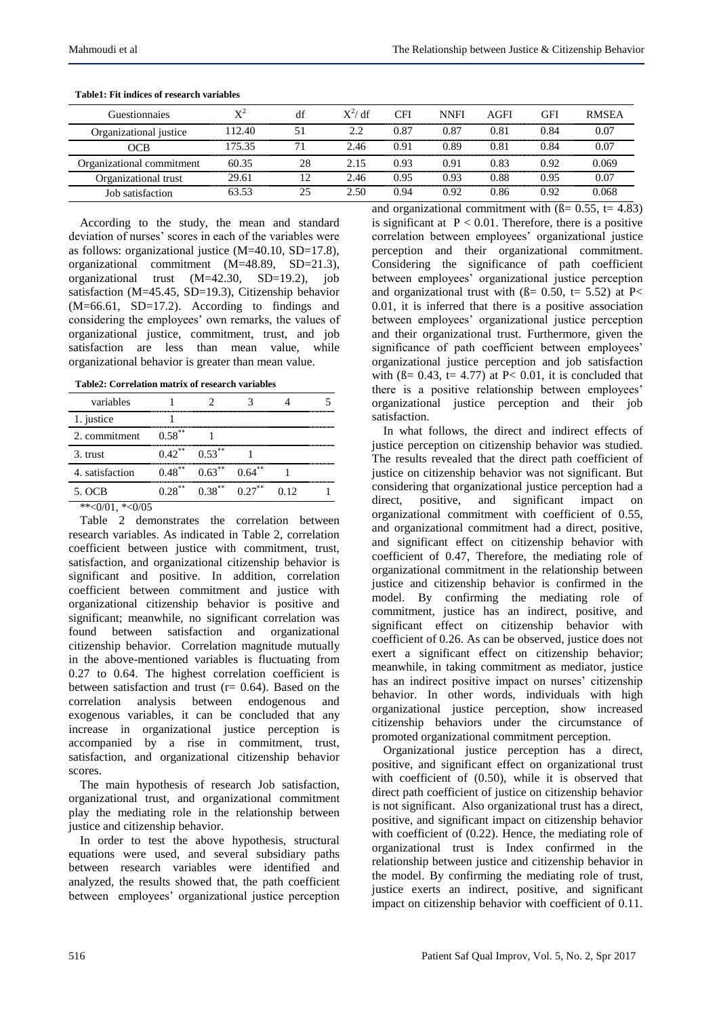| Guestionnaies             | $\mathbf{Y}^2$ | df | $X^2/df$ | <b>CFI</b> | <b>NNFI</b> | AGFI | <b>GFI</b> | <b>RMSEA</b> |
|---------------------------|----------------|----|----------|------------|-------------|------|------------|--------------|
| Organizational justice    | 112.40         |    | 2.2      | 0.87       | 0.87        | 0.81 | 0.84       | 0.07         |
| OCB                       | 175 35         | 71 | 2.46     | 0.91       | 0.89        | 0.81 | 0.84       | 0.07         |
| Organizational commitment | 60.35          | 28 | 2.15     | 0.93       | 0.91        | 0.83 | 0.92       | 0.069        |
| Organizational trust      | 29.61          |    | 2.46     | 0.95       | 0.93        | 0.88 | 0.95       | 0.07         |
| Job satisfaction          | 63 53          |    | 2.50     | 0.94       | 0.92        | 0.86 | N 92.      | 0.068        |

**Table1: Fit indices of research variables**

According to the study, the mean and standard deviation of nurses' scores in each of the variables were as follows: organizational justice (M=40.10, SD=17.8), organizational commitment (M=48.89, SD=21.3), organizational trust (M=42.30, SD=19.2), job satisfaction (M=45.45, SD=19.3), Citizenship behavior (M=66.61, SD=17.2). According to findings and considering the employees' own remarks, the values of organizational justice, commitment, trust, and job satisfaction are less than mean value, while organizational behavior is greater than mean value.

**Table2: Correlation matrix of research variables**

| variables       |           |                         |           |      |                        |
|-----------------|-----------|-------------------------|-----------|------|------------------------|
| 1. justice      |           |                         |           |      |                        |
| 2. commitment   | $0.58***$ |                         |           |      |                        |
| 3. trust        |           | $0.42^{**}$ $0.53^{**}$ |           |      | ,,,,,,,,,,,,,,,,,,,,,, |
| 4. satisfaction | $0.48***$ | $0.63***$               | $0.64***$ |      |                        |
| 5. OCB          | $0.28***$ | $0.38***$               | $0.27***$ | 0.12 |                        |
|                 |           |                         |           |      |                        |

Table 2 demonstrates the correlation between research variables. As indicated in Table 2, correlation coefficient between justice with commitment, trust, satisfaction, and organizational citizenship behavior is significant and positive. In addition, correlation coefficient between commitment and justice with organizational citizenship behavior is positive and significant; meanwhile, no significant correlation was<br>found between satisfaction and organizational found between satisfaction and citizenship behavior. Correlation magnitude mutually in the above-mentioned variables is fluctuating from 0.27 to 0.64. The highest correlation coefficient is between satisfaction and trust  $(r= 0.64)$ . Based on the correlation analysis between endogenous and exogenous variables, it can be concluded that any increase in organizational justice perception is accompanied by a rise in commitment, trust, satisfaction, and organizational citizenship behavior scores.

The main hypothesis of research Job satisfaction, organizational trust, and organizational commitment play the mediating role in the relationship between justice and citizenship behavior.

In order to test the above hypothesis, structural equations were used, and several subsidiary paths between research variables were identified and analyzed, the results showed that, the path coefficient between employees' organizational justice perception and organizational commitment with  $(\beta = 0.55, t = 4.83)$ is significant at  $P < 0.01$ . Therefore, there is a positive correlation between employees' organizational justice perception and their organizational commitment. Considering the significance of path coefficient between employees' organizational justice perception and organizational trust with  $(\beta = 0.50, t = 5.52)$  at P< 0.01, it is inferred that there is a positive association between employees' organizational justice perception and their organizational trust. Furthermore, given the significance of path coefficient between employees' organizational justice perception and job satisfaction with ( $\beta$ = 0.43, t= 4.77) at P< 0.01, it is concluded that there is a positive relationship between employees' organizational justice perception and their job satisfaction.

In what follows, the direct and indirect effects of justice perception on citizenship behavior was studied. The results revealed that the direct path coefficient of justice on citizenship behavior was not significant. But considering that organizational justice perception had a direct, positive, and significant impact on organizational commitment with coefficient of 0.55, and organizational commitment had a direct, positive, and significant effect on citizenship behavior with coefficient of 0.47, Therefore, the mediating role of organizational commitment in the relationship between justice and citizenship behavior is confirmed in the model. By confirming the mediating role of commitment, justice has an indirect, positive, and significant effect on citizenship behavior with coefficient of 0.26. As can be observed, justice does not exert a significant effect on citizenship behavior; meanwhile, in taking commitment as mediator, justice has an indirect positive impact on nurses' citizenship behavior. In other words, individuals with high organizational justice perception, show increased citizenship behaviors under the circumstance of promoted organizational commitment perception.

Organizational justice perception has a direct, positive, and significant effect on organizational trust with coefficient of (0.50), while it is observed that direct path coefficient of justice on citizenship behavior is not significant. Also organizational trust has a direct, positive, and significant impact on citizenship behavior with coefficient of  $(0.22)$ . Hence, the mediating role of organizational trust is Index confirmed in the relationship between justice and citizenship behavior in the model. By confirming the mediating role of trust, justice exerts an indirect, positive, and significant impact on citizenship behavior with coefficient of 0.11.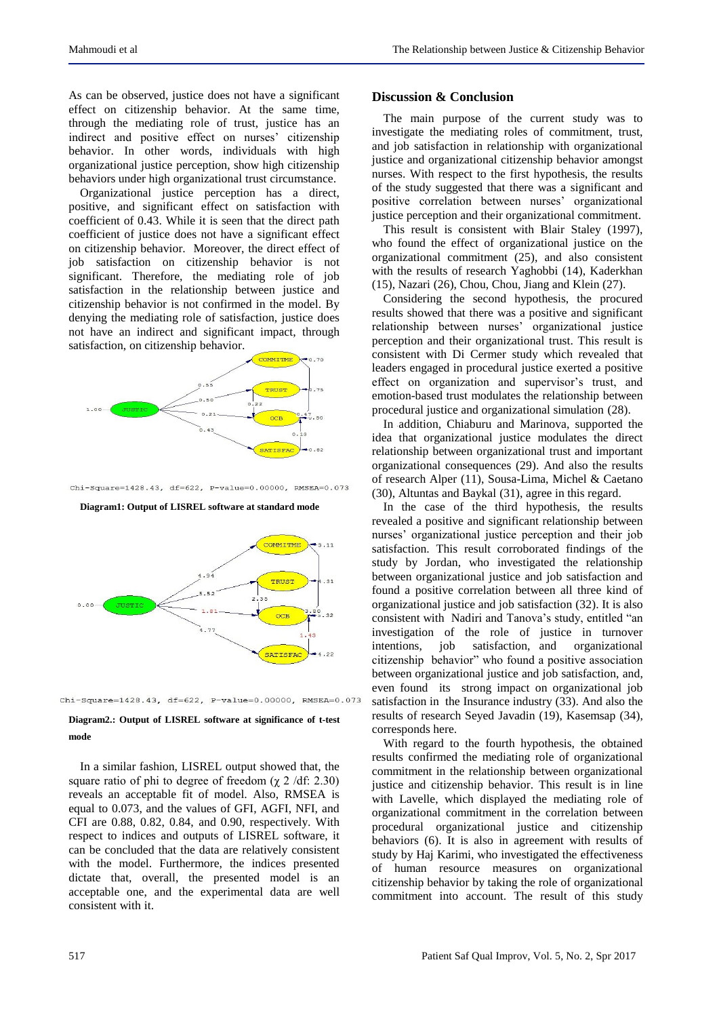As can be observed, justice does not have a significant effect on citizenship behavior. At the same time, through the mediating role of trust, justice has an indirect and positive effect on nurses' citizenship behavior. In other words, individuals with high organizational justice perception, show high citizenship behaviors under high organizational trust circumstance.

Organizational justice perception has a direct, positive, and significant effect on satisfaction with coefficient of 0.43. While it is seen that the direct path coefficient of justice does not have a significant effect on citizenship behavior. Moreover, the direct effect of job satisfaction on citizenship behavior is not significant. Therefore, the mediating role of job satisfaction in the relationship between justice and citizenship behavior is not confirmed in the model. By denying the mediating role of satisfaction, justice does not have an indirect and significant impact, through satisfaction, on citizenship behavior.



 $Chi-Square=1428.43, df=622, P-value=0.00000, RMSEA=0.073$ 

**Diagram1: Output of LISREL software at standard mode**





#### **Diagram2.: Output of LISREL software at significance of t-test mode**

In a similar fashion, LISREL output showed that, the square ratio of phi to degree of freedom ( $\chi$  2 /df: 2.30) reveals an acceptable fit of model. Also, RMSEA is equal to 0.073, and the values of GFI, AGFI, NFI, and CFI are 0.88, 0.82, 0.84, and 0.90, respectively. With respect to indices and outputs of LISREL software, it can be concluded that the data are relatively consistent with the model. Furthermore, the indices presented dictate that, overall, the presented model is an acceptable one, and the experimental data are well consistent with it.

#### **Discussion & Conclusion**

The main purpose of the current study was to investigate the mediating roles of commitment, trust, and job satisfaction in relationship with organizational justice and organizational citizenship behavior amongst nurses. With respect to the first hypothesis, the results of the study suggested that there was a significant and positive correlation between nurses' organizational justice perception and their organizational commitment.

This result is consistent with Blair Staley (1997), who found the effect of organizational justice on the organizational commitment (25), and also consistent with the results of research Yaghobbi (14), Kaderkhan (15), Nazari (26), Chou, Chou, Jiang and Klein (27).

Considering the second hypothesis, the procured results showed that there was a positive and significant relationship between nurses' organizational justice perception and their organizational trust. This result is consistent with Di Cermer study which revealed that leaders engaged in procedural justice exerted a positive effect on organization and supervisor's trust, and emotion-based trust modulates the relationship between procedural justice and organizational simulation (28).

In addition, Chiaburu and Marinova, supported the idea that organizational justice modulates the direct relationship between organizational trust and important organizational consequences (29). And also the results of research Alper (11), Sousa-Lima, Michel & Caetano (30), Altuntas and Baykal (31), agree in this regard.

In the case of the third hypothesis, the results revealed a positive and significant relationship between nurses' organizational justice perception and their job satisfaction. This result corroborated findings of the study by Jordan, who investigated the relationship between organizational justice and job satisfaction and found a positive correlation between all three kind of organizational justice and job satisfaction (32). It is also consistent with Nadiri and Tanova's study, entitled "an investigation of the role of justice in turnover intentions, job satisfaction, and organizational citizenship behavior" who found a positive association between organizational justice and job satisfaction, and, even found its strong impact on organizational job satisfaction in the Insurance industry (33). And also the results of research Seyed Javadin (19), Kasemsap (34), corresponds here.

With regard to the fourth hypothesis, the obtained results confirmed the mediating role of organizational commitment in the relationship between organizational justice and citizenship behavior. This result is in line with Lavelle, which displayed the mediating role of organizational commitment in the correlation between procedural organizational justice and citizenship behaviors (6). It is also in agreement with results of study by Haj Karimi, who investigated the effectiveness of human resource measures on organizational citizenship behavior by taking the role of organizational commitment into account. The result of this study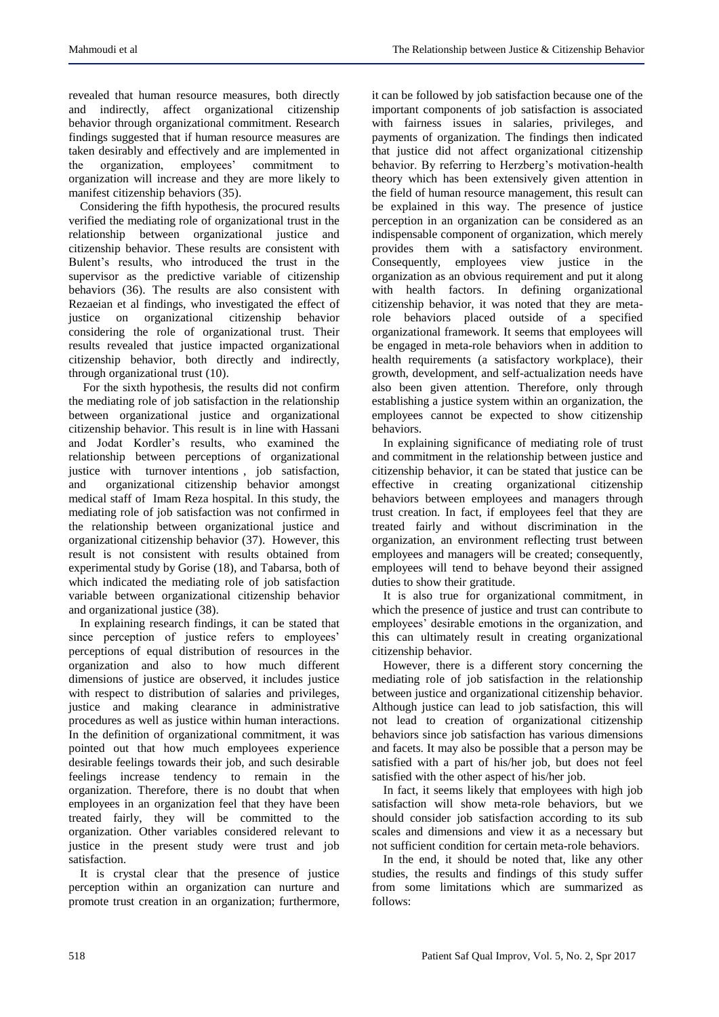revealed that human resource measures, both directly and indirectly, affect organizational citizenship behavior through organizational commitment. Research findings suggested that if human resource measures are taken desirably and effectively and are implemented in the organization, employees' commitment to organization will increase and they are more likely to manifest citizenship behaviors (35).

Considering the fifth hypothesis, the procured results verified the mediating role of organizational trust in the relationship between organizational justice and citizenship behavior. These results are consistent with Bulent's results, who introduced the trust in the supervisor as the predictive variable of citizenship behaviors (36). The results are also consistent with Rezaeian et al findings, who investigated the effect of justice on organizational citizenship behavior considering the role of organizational trust. Their results revealed that justice impacted organizational citizenship behavior, both directly and indirectly, through organizational trust (10).

For the sixth hypothesis, the results did not confirm the mediating role of job satisfaction in the relationship between organizational justice and organizational citizenship behavior. This result is in line with Hassani and Jodat Kordler's results, who examined the relationship between perceptions of organizational justice with turnover intentions , job satisfaction, and organizational citizenship behavior amongst medical staff of Imam Reza hospital. In this study, the mediating role of job satisfaction was not confirmed in the relationship between organizational justice and organizational citizenship behavior (37). However, this result is not consistent with results obtained from experimental study by Gorise (18), and Tabarsa, both of which indicated the mediating role of job satisfaction variable between organizational citizenship behavior and organizational justice (38).

In explaining research findings, it can be stated that since perception of justice refers to employees' perceptions of equal distribution of resources in the organization and also to how much different dimensions of justice are observed, it includes justice with respect to distribution of salaries and privileges, justice and making clearance in administrative procedures as well as justice within human interactions. In the definition of organizational commitment, it was pointed out that how much employees experience desirable feelings towards their job, and such desirable feelings increase tendency to remain in the organization. Therefore, there is no doubt that when employees in an organization feel that they have been treated fairly, they will be committed to the organization. Other variables considered relevant to justice in the present study were trust and job satisfaction.

It is crystal clear that the presence of justice perception within an organization can nurture and promote trust creation in an organization; furthermore,

it can be followed by job satisfaction because one of the important components of job satisfaction is associated with fairness issues in salaries, privileges, and payments of organization. The findings then indicated that justice did not affect organizational citizenship behavior. By referring to Herzberg's motivation-health theory which has been extensively given attention in the field of human resource management, this result can be explained in this way. The presence of justice perception in an organization can be considered as an indispensable component of organization, which merely provides them with a satisfactory environment. Consequently, employees view justice in the organization as an obvious requirement and put it along with health factors. In defining organizational citizenship behavior, it was noted that they are metarole behaviors placed outside of a specified organizational framework. It seems that employees will be engaged in meta-role behaviors when in addition to health requirements (a satisfactory workplace), their growth, development, and self-actualization needs have also been given attention. Therefore, only through establishing a justice system within an organization, the employees cannot be expected to show citizenship behaviors.

In explaining significance of mediating role of trust and commitment in the relationship between justice and citizenship behavior, it can be stated that justice can be effective in creating organizational citizenship behaviors between employees and managers through trust creation. In fact, if employees feel that they are treated fairly and without discrimination in the organization, an environment reflecting trust between employees and managers will be created; consequently, employees will tend to behave beyond their assigned duties to show their gratitude.

It is also true for organizational commitment, in which the presence of justice and trust can contribute to employees' desirable emotions in the organization, and this can ultimately result in creating organizational citizenship behavior.

However, there is a different story concerning the mediating role of job satisfaction in the relationship between justice and organizational citizenship behavior. Although justice can lead to job satisfaction, this will not lead to creation of organizational citizenship behaviors since job satisfaction has various dimensions and facets. It may also be possible that a person may be satisfied with a part of his/her job, but does not feel satisfied with the other aspect of his/her job.

In fact, it seems likely that employees with high job satisfaction will show meta-role behaviors, but we should consider job satisfaction according to its sub scales and dimensions and view it as a necessary but not sufficient condition for certain meta-role behaviors.

In the end, it should be noted that, like any other studies, the results and findings of this study suffer from some limitations which are summarized as follows: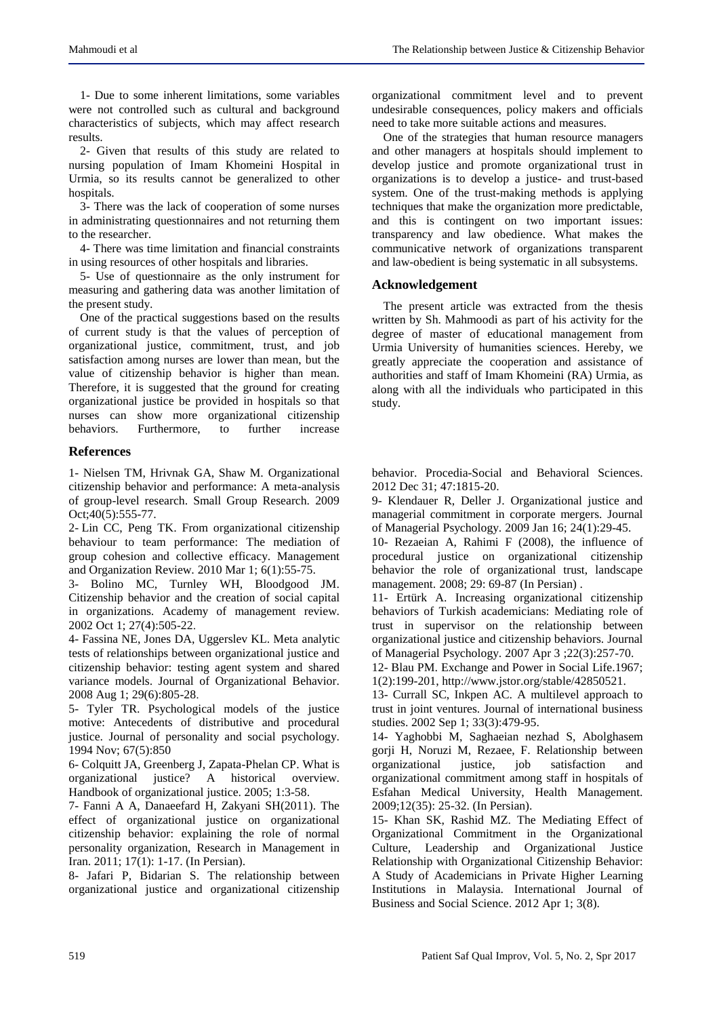1- Due to some inherent limitations, some variables were not controlled such as cultural and background characteristics of subjects, which may affect research results.

2- Given that results of this study are related to nursing population of Imam Khomeini Hospital in Urmia, so its results cannot be generalized to other hospitals.

3- There was the lack of cooperation of some nurses in administrating questionnaires and not returning them to the researcher.

4- There was time limitation and financial constraints in using resources of other hospitals and libraries.

5- Use of questionnaire as the only instrument for measuring and gathering data was another limitation of the present study.

One of the practical suggestions based on the results of current study is that the values of perception of organizational justice, commitment, trust, and job satisfaction among nurses are lower than mean, but the value of citizenship behavior is higher than mean. Therefore, it is suggested that the ground for creating organizational justice be provided in hospitals so that nurses can show more organizational citizenship behaviors. Furthermore, to further increase

## **References**

1- Nielsen TM, Hrivnak GA, Shaw M. Organizational citizenship behavior and performance: A meta-analysis of group-level research. Small Group Research. 2009 Oct;40(5):555-77.

2- Lin CC, Peng TK. From organizational citizenship behaviour to team performance: The mediation of group cohesion and collective efficacy. Management and Organization Review. 2010 Mar 1; 6(1):55-75.

3- Bolino MC, Turnley WH, Bloodgood JM. Citizenship behavior and the creation of social capital in organizations. Academy of management review. 2002 Oct 1; 27(4):505-22.

4- Fassina NE, Jones DA, Uggerslev KL. Meta analytic tests of relationships between organizational justice and citizenship behavior: testing agent system and shared variance models. Journal of Organizational Behavior. 2008 Aug 1; 29(6):805-28.

5- Tyler TR. Psychological models of the justice motive: Antecedents of distributive and procedural justice. Journal of personality and social psychology. 1994 Nov; 67(5):850

6- Colquitt JA, Greenberg J, Zapata-Phelan CP. What is organizational justice? A historical overview. Handbook of organizational justice. 2005; 1:3-58.

7- Fanni A A, Danaeefard H, Zakyani SH(2011). The effect of organizational justice on organizational citizenship behavior: explaining the role of normal personality organization, Research in Management in Iran. 2011; 17(1): 1-17. (In Persian).

8- Jafari P, Bidarian S. The relationship between organizational justice and organizational citizenship organizational commitment level and to prevent undesirable consequences, policy makers and officials need to take more suitable actions and measures.

One of the strategies that human resource managers and other managers at hospitals should implement to develop justice and promote organizational trust in organizations is to develop a justice- and trust-based system. One of the trust-making methods is applying techniques that make the organization more predictable, and this is contingent on two important issues: transparency and law obedience. What makes the communicative network of organizations transparent and law-obedient is being systematic in all subsystems.

## **Acknowledgement**

The present article was extracted from the thesis written by Sh. Mahmoodi as part of his activity for the degree of master of educational management from Urmia University of humanities sciences. Hereby, we greatly appreciate the cooperation and assistance of authorities and staff of Imam Khomeini (RA) Urmia, as along with all the individuals who participated in this study.

behavior. Procedia-Social and Behavioral Sciences. 2012 Dec 31; 47:1815-20.

9- Klendauer R, Deller J. Organizational justice and managerial commitment in corporate mergers. Journal of Managerial Psychology. 2009 Jan 16; 24(1):29-45.

10- Rezaeian A, Rahimi F (2008), the influence of procedural justice on organizational citizenship behavior the role of organizational trust, landscape management. 2008; 29: 69-87 (In Persian) .

11- Ertürk A. Increasing organizational citizenship behaviors of Turkish academicians: Mediating role of trust in supervisor on the relationship between organizational justice and citizenship behaviors. Journal of Managerial Psychology. 2007 Apr 3 ;22(3):257-70.

12- Blau PM. Exchange and Power in Social Life.1967; 1(2):199-201, http://www.jstor.org/stable/42850521.

13- Currall SC, Inkpen AC. A multilevel approach to trust in joint ventures. Journal of international business studies. 2002 Sep 1; 33(3):479-95.

14- Yaghobbi M, Saghaeian nezhad S, Abolghasem gorji H, Noruzi M, Rezaee, F. Relationship between organizational justice, job satisfaction and organizational commitment among staff in hospitals of Esfahan Medical University, Health Management. 2009;12(35): 25-32. (In Persian).

15- Khan SK, Rashid MZ. The Mediating Effect of Organizational Commitment in the Organizational Culture, Leadership and Organizational Justice Relationship with Organizational Citizenship Behavior: A Study of Academicians in Private Higher Learning Institutions in Malaysia. International Journal of Business and Social Science. 2012 Apr 1; 3(8).